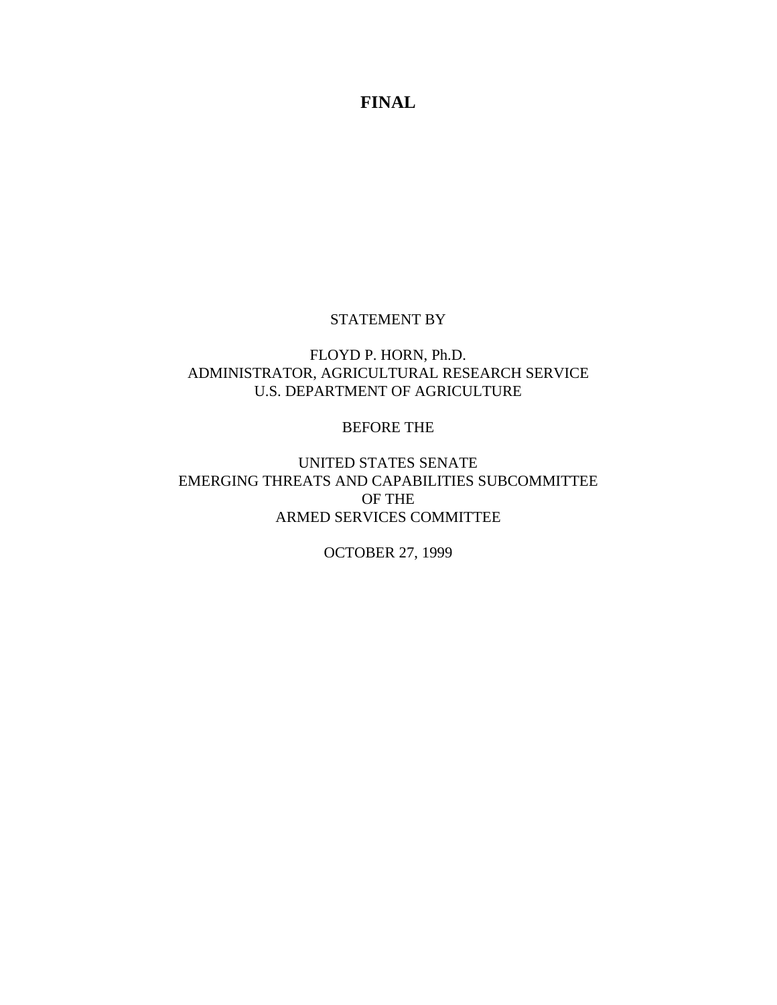#### STATEMENT BY

# FLOYD P. HORN, Ph.D. ADMINISTRATOR, AGRICULTURAL RESEARCH SERVICE U.S. DEPARTMENT OF AGRICULTURE

### BEFORE THE

# UNITED STATES SENATE EMERGING THREATS AND CAPABILITIES SUBCOMMITTEE OF THE ARMED SERVICES COMMITTEE

# OCTOBER 27, 1999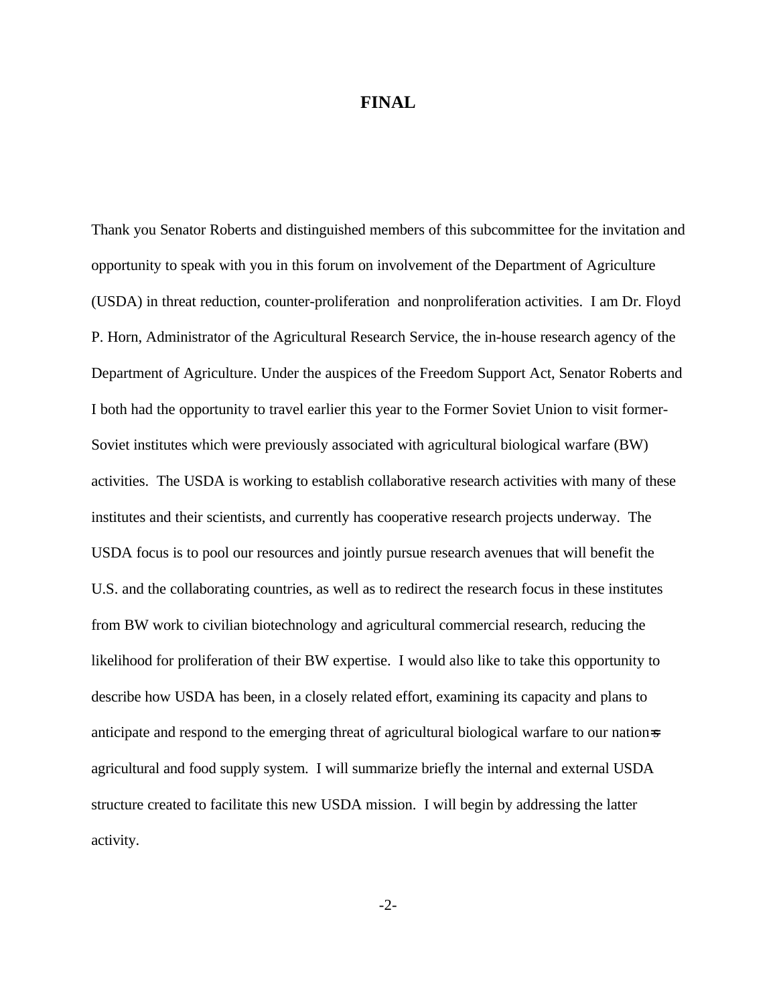Thank you Senator Roberts and distinguished members of this subcommittee for the invitation and opportunity to speak with you in this forum on involvement of the Department of Agriculture (USDA) in threat reduction, counter-proliferation and nonproliferation activities. I am Dr. Floyd P. Horn, Administrator of the Agricultural Research Service, the in-house research agency of the Department of Agriculture. Under the auspices of the Freedom Support Act, Senator Roberts and I both had the opportunity to travel earlier this year to the Former Soviet Union to visit former-Soviet institutes which were previously associated with agricultural biological warfare (BW) activities. The USDA is working to establish collaborative research activities with many of these institutes and their scientists, and currently has cooperative research projects underway. The USDA focus is to pool our resources and jointly pursue research avenues that will benefit the U.S. and the collaborating countries, as well as to redirect the research focus in these institutes from BW work to civilian biotechnology and agricultural commercial research, reducing the likelihood for proliferation of their BW expertise. I would also like to take this opportunity to describe how USDA has been, in a closely related effort, examining its capacity and plans to anticipate and respond to the emerging threat of agricultural biological warfare to our nation=s agricultural and food supply system. I will summarize briefly the internal and external USDA structure created to facilitate this new USDA mission. I will begin by addressing the latter activity.

-2-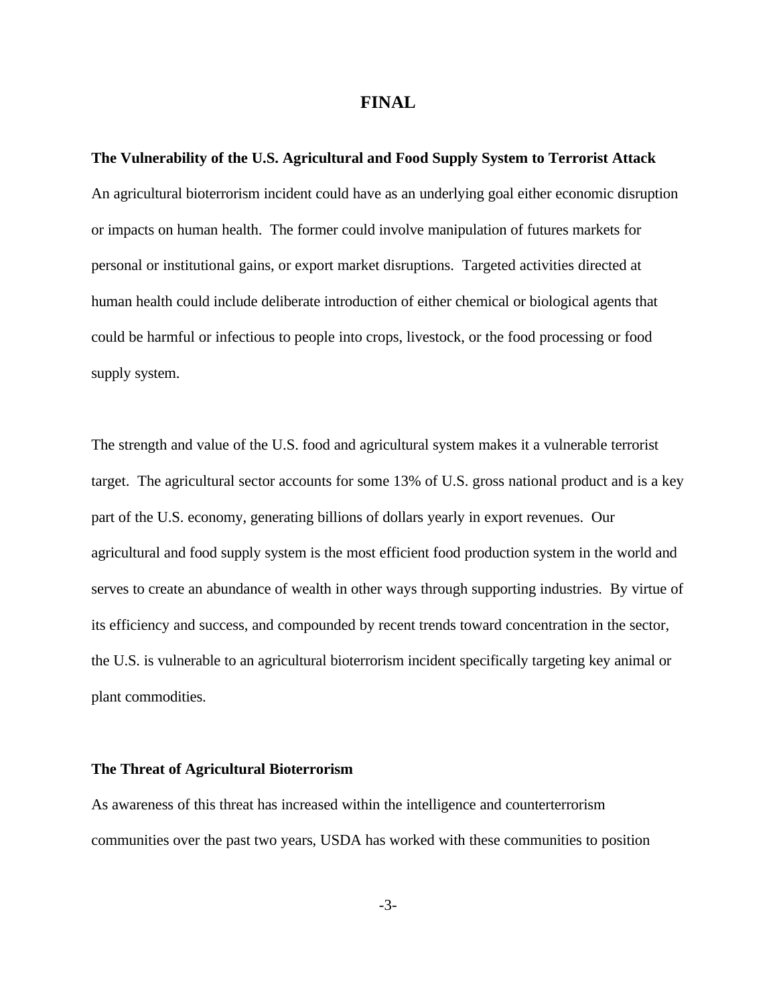**The Vulnerability of the U.S. Agricultural and Food Supply System to Terrorist Attack** An agricultural bioterrorism incident could have as an underlying goal either economic disruption or impacts on human health. The former could involve manipulation of futures markets for personal or institutional gains, or export market disruptions. Targeted activities directed at human health could include deliberate introduction of either chemical or biological agents that could be harmful or infectious to people into crops, livestock, or the food processing or food supply system.

The strength and value of the U.S. food and agricultural system makes it a vulnerable terrorist target. The agricultural sector accounts for some 13% of U.S. gross national product and is a key part of the U.S. economy, generating billions of dollars yearly in export revenues. Our agricultural and food supply system is the most efficient food production system in the world and serves to create an abundance of wealth in other ways through supporting industries. By virtue of its efficiency and success, and compounded by recent trends toward concentration in the sector, the U.S. is vulnerable to an agricultural bioterrorism incident specifically targeting key animal or plant commodities.

#### **The Threat of Agricultural Bioterrorism**

As awareness of this threat has increased within the intelligence and counterterrorism communities over the past two years, USDA has worked with these communities to position

-3-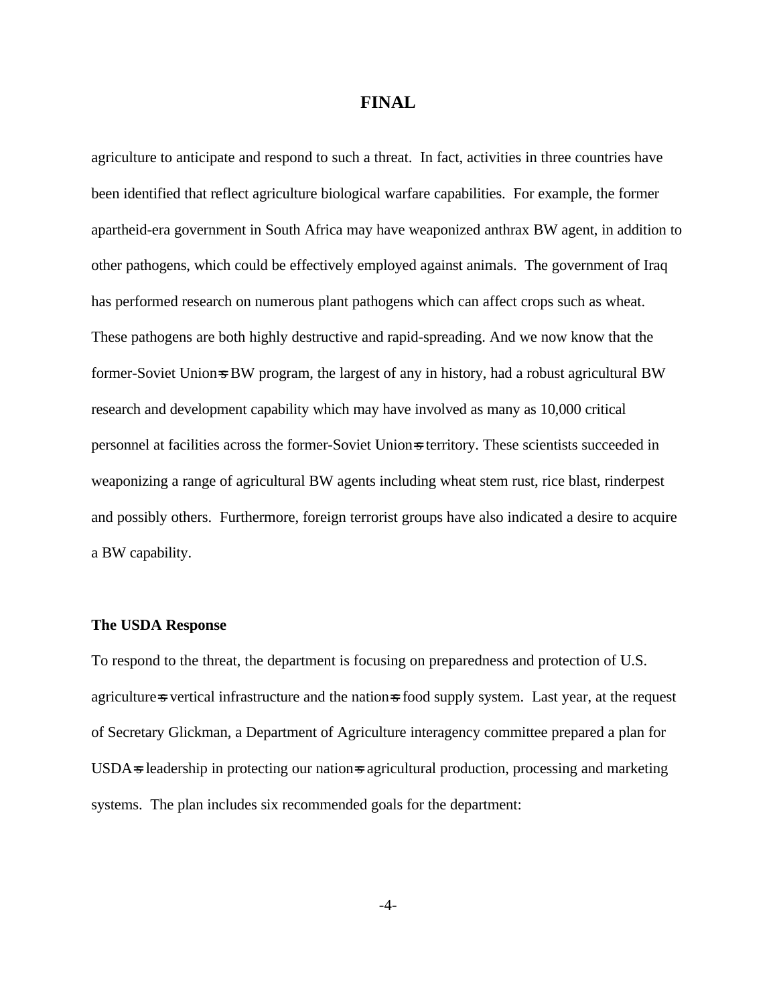agriculture to anticipate and respond to such a threat. In fact, activities in three countries have been identified that reflect agriculture biological warfare capabilities. For example, the former apartheid-era government in South Africa may have weaponized anthrax BW agent, in addition to other pathogens, which could be effectively employed against animals. The government of Iraq has performed research on numerous plant pathogens which can affect crops such as wheat. These pathogens are both highly destructive and rapid-spreading. And we now know that the former-Soviet Union=s BW program, the largest of any in history, had a robust agricultural BW research and development capability which may have involved as many as 10,000 critical personnel at facilities across the former-Soviet Union=s territory. These scientists succeeded in weaponizing a range of agricultural BW agents including wheat stem rust, rice blast, rinderpest and possibly others. Furthermore, foreign terrorist groups have also indicated a desire to acquire a BW capability.

#### **The USDA Response**

To respond to the threat, the department is focusing on preparedness and protection of U.S. agriculture=s vertical infrastructure and the nation=s food supply system. Last year, at the request of Secretary Glickman, a Department of Agriculture interagency committee prepared a plan for USDA=s leadership in protecting our nation=s agricultural production, processing and marketing systems. The plan includes six recommended goals for the department:

-4-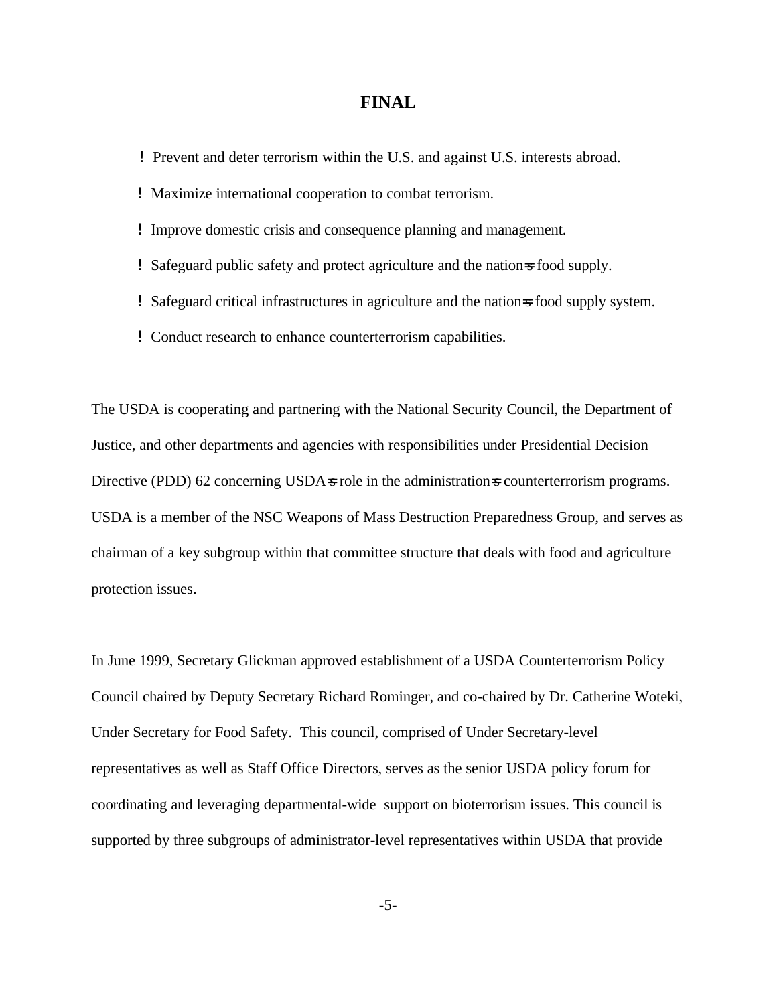- ! Prevent and deter terrorism within the U.S. and against U.S. interests abroad.
- ! Maximize international cooperation to combat terrorism.
- ! Improve domestic crisis and consequence planning and management.
- ! Safeguard public safety and protect agriculture and the nation=s food supply.
- ! Safeguard critical infrastructures in agriculture and the nation=s food supply system.
- ! Conduct research to enhance counterterrorism capabilities.

The USDA is cooperating and partnering with the National Security Council, the Department of Justice, and other departments and agencies with responsibilities under Presidential Decision Directive (PDD) 62 concerning USDA=s role in the administration=s counterterrorism programs. USDA is a member of the NSC Weapons of Mass Destruction Preparedness Group, and serves as chairman of a key subgroup within that committee structure that deals with food and agriculture protection issues.

In June 1999, Secretary Glickman approved establishment of a USDA Counterterrorism Policy Council chaired by Deputy Secretary Richard Rominger, and co-chaired by Dr. Catherine Woteki, Under Secretary for Food Safety. This council, comprised of Under Secretary-level representatives as well as Staff Office Directors, serves as the senior USDA policy forum for coordinating and leveraging departmental-wide support on bioterrorism issues. This council is supported by three subgroups of administrator-level representatives within USDA that provide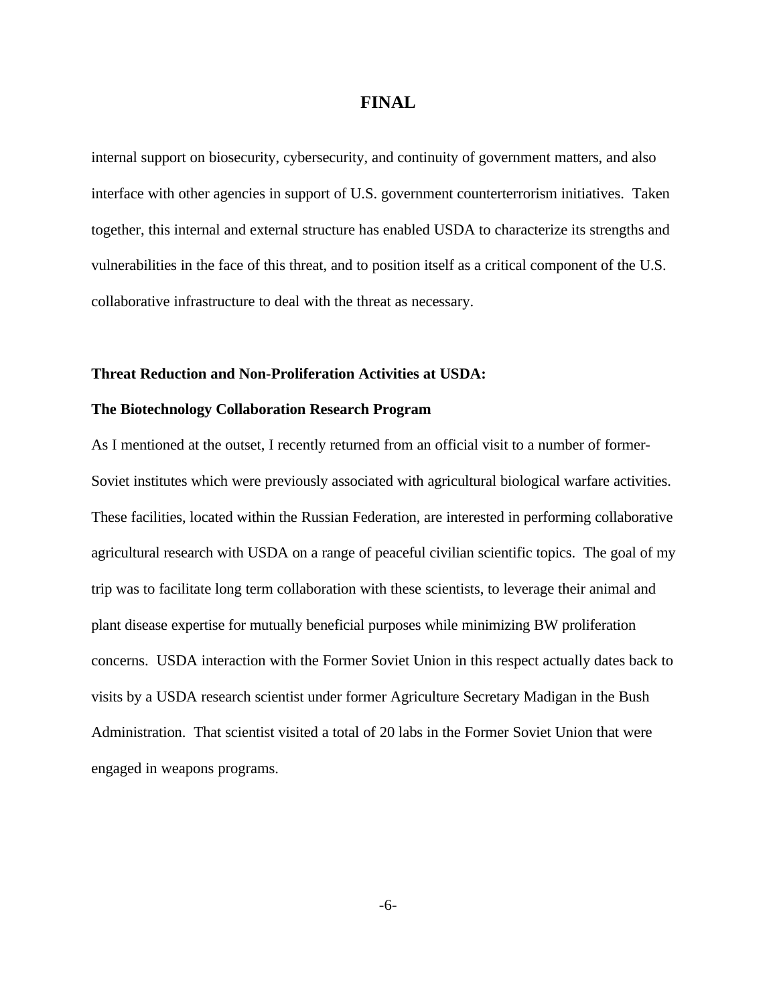internal support on biosecurity, cybersecurity, and continuity of government matters, and also interface with other agencies in support of U.S. government counterterrorism initiatives. Taken together, this internal and external structure has enabled USDA to characterize its strengths and vulnerabilities in the face of this threat, and to position itself as a critical component of the U.S. collaborative infrastructure to deal with the threat as necessary.

#### **Threat Reduction and Non-Proliferation Activities at USDA:**

#### **The Biotechnology Collaboration Research Program**

As I mentioned at the outset, I recently returned from an official visit to a number of former-Soviet institutes which were previously associated with agricultural biological warfare activities. These facilities, located within the Russian Federation, are interested in performing collaborative agricultural research with USDA on a range of peaceful civilian scientific topics. The goal of my trip was to facilitate long term collaboration with these scientists, to leverage their animal and plant disease expertise for mutually beneficial purposes while minimizing BW proliferation concerns. USDA interaction with the Former Soviet Union in this respect actually dates back to visits by a USDA research scientist under former Agriculture Secretary Madigan in the Bush Administration. That scientist visited a total of 20 labs in the Former Soviet Union that were engaged in weapons programs.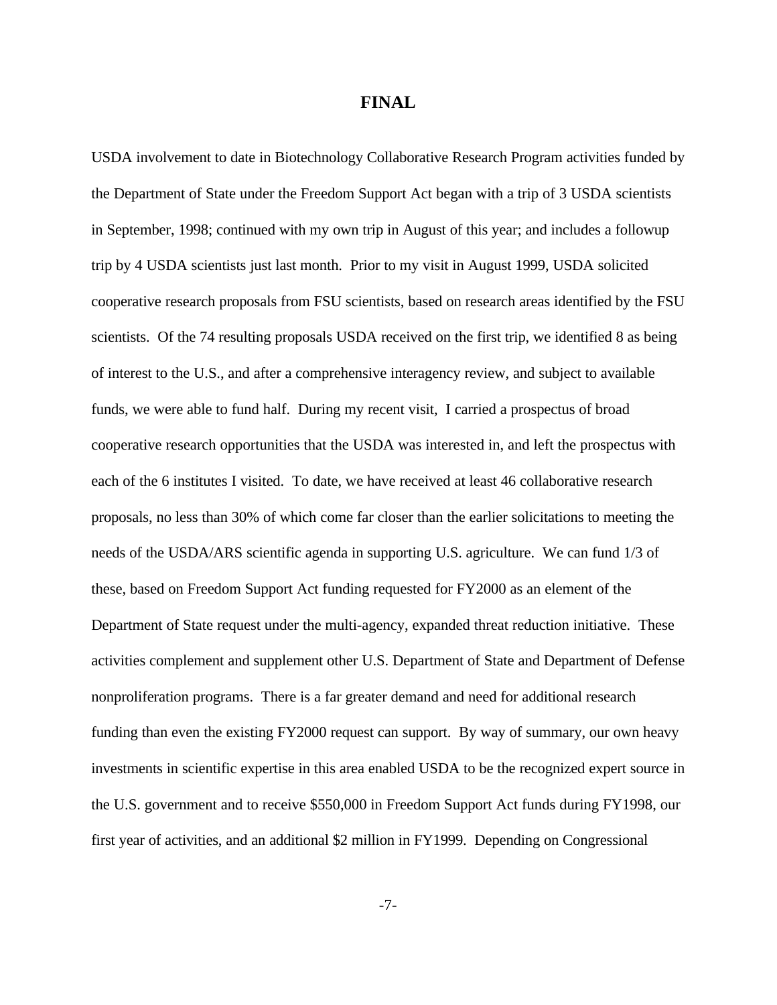USDA involvement to date in Biotechnology Collaborative Research Program activities funded by the Department of State under the Freedom Support Act began with a trip of 3 USDA scientists in September, 1998; continued with my own trip in August of this year; and includes a followup trip by 4 USDA scientists just last month. Prior to my visit in August 1999, USDA solicited cooperative research proposals from FSU scientists, based on research areas identified by the FSU scientists. Of the 74 resulting proposals USDA received on the first trip, we identified 8 as being of interest to the U.S., and after a comprehensive interagency review, and subject to available funds, we were able to fund half. During my recent visit, I carried a prospectus of broad cooperative research opportunities that the USDA was interested in, and left the prospectus with each of the 6 institutes I visited. To date, we have received at least 46 collaborative research proposals, no less than 30% of which come far closer than the earlier solicitations to meeting the needs of the USDA/ARS scientific agenda in supporting U.S. agriculture. We can fund 1/3 of these, based on Freedom Support Act funding requested for FY2000 as an element of the Department of State request under the multi-agency, expanded threat reduction initiative. These activities complement and supplement other U.S. Department of State and Department of Defense nonproliferation programs. There is a far greater demand and need for additional research funding than even the existing FY2000 request can support. By way of summary, our own heavy investments in scientific expertise in this area enabled USDA to be the recognized expert source in the U.S. government and to receive \$550,000 in Freedom Support Act funds during FY1998, our first year of activities, and an additional \$2 million in FY1999. Depending on Congressional

-7-